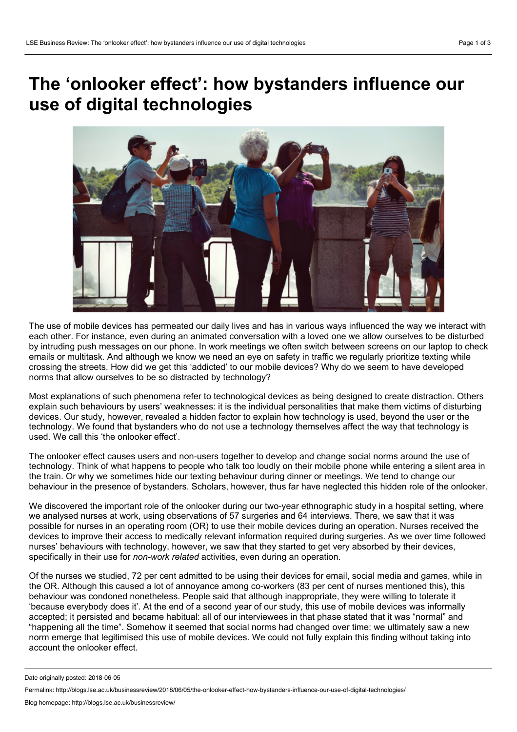## **The 'onlooker effect': how bystanders influence our use of digital technologies**



The use of mobile devices has permeated our daily lives and has in various ways influenced the way we interact with each other. For instance, even during an animated conversation with a loved one we allow ourselves to be disturbed by intruding push messages on our phone. In work meetings we often switch between screens on our laptop to check emails or multitask. And although we know we need an eye on safety in traffic we regularly prioritize texting while crossing the streets. How did we get this 'addicted' to our mobile devices? Why do we seem to have developed norms that allow ourselves to be so distracted by technology?

Most explanations of such phenomena refer to technological devices as being designed to create distraction. Others explain such behaviours by users' weaknesses: it is the individual personalities that make them victims of disturbing devices. Our study, however, revealed a hidden factor to explain how technology is used, beyond the user or the technology. We found that bystanders who do not use a technology themselves affect the way that technology is used. We call this 'the onlooker effect'.

The onlooker effect causes users and non-users together to develop and change social norms around the use of technology. Think of what happens to people who talk too loudly on their mobile phone while entering a silent area in the train. Or why we sometimes hide our texting behaviour during dinner or meetings. We tend to change our behaviour in the presence of bystanders. Scholars, however, thus far have neglected this hidden role of the onlooker.

We discovered the important role of the onlooker during our two-year ethnographic study in a hospital setting, where we analysed nurses at work, using observations of 57 surgeries and 64 interviews. There, we saw that it was possible for nurses in an operating room (OR) to use their mobile devices during an operation. Nurses received the devices to improve their access to medically relevant information required during surgeries. As we over time followed nurses' behaviours with technology, however, we saw that they started to get very absorbed by their devices, specifically in their use for *non-work related* activities, even during an operation.

Of the nurses we studied, 72 per cent admitted to be using their devices for email, social media and games, while in the OR.Although this caused a lot of annoyance among co-workers (83 per cent of nurses mentioned this), this behaviour was condoned nonetheless. People said that although inappropriate, they were willing to tolerate it 'because everybody does it'. At the end of a second year of our study, this use of mobile devices was informally accepted; it persisted and became habitual: all of our interviewees in that phase stated that it was "normal" and "happening all the time". Somehow it seemed that social norms had changed over time: we ultimately saw a new norm emerge that legitimised this use of mobile devices. We could not fully explain this finding without taking into account the onlooker effect.

Date originally posted: 2018-06-05

Permalink: http://blogs.lse.ac.uk/businessreview/2018/06/05/the-onlooker-effect-how-bystanders-influence-our-use-of-digital-technologies/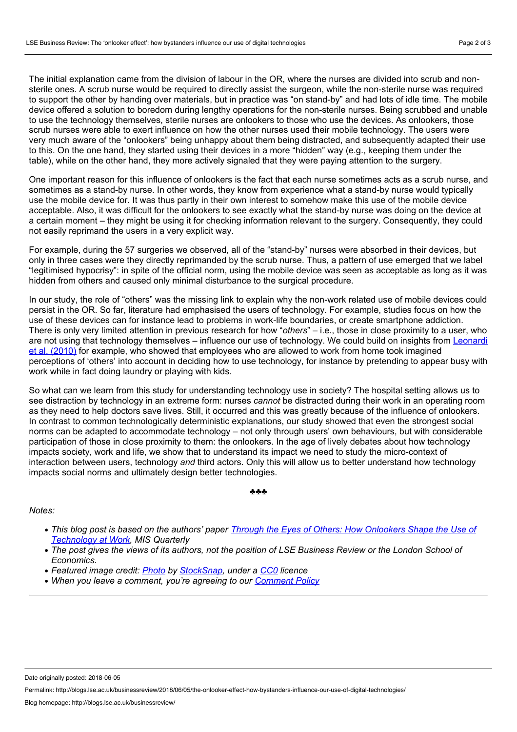The initial explanation came from the division of labour in the OR, where the nurses are divided into scrub and non sterile ones. A scrub nurse would be required to directly assist the surgeon, while the non-sterile nurse was required to support the other by handing over materials, but in practice was "on stand-by" and had lots of idle time. The mobile device offered a solution to boredom during lengthy operations for the non-sterile nurses. Being scrubbed and unable to use the technology themselves, sterile nurses are onlookers to those who use the devices. As onlookers, those scrub nurses were able to exert influence on how the other nurses used their mobile technology. The users were very much aware of the "onlookers" being unhappy about them being distracted, and subsequently adapted their use to this. On the one hand, they started using their devices in a more "hidden" way (e.g., keeping them under the table), while on the other hand, they more actively signaled that they were paying attention to the surgery.

One important reason for this influence of onlookers is the fact that each nurse sometimes acts as a scrub nurse, and sometimes as a stand-by nurse. In other words, they know from experience what a stand-by nurse would typically use the mobile device for. It was thus partly in their own interest to somehow make this use of the mobile device acceptable. Also, it was difficult for the onlookers to see exactly what the stand-by nurse was doing on the device at a certain moment – they might be using it for checking information relevant to the surgery. Consequently, they could not easily reprimand the users in a very explicit way.

For example, during the 57 surgeries we observed, all of the "stand-by" nurses were absorbed in their devices, but only in three cases were they directly reprimanded by the scrub nurse. Thus, a pattern of use emerged that we label<br>"legitimised hypocrisy": in spite of the official norm, using the mobile device was seen as acceptable as hidden from others and caused only minimal disturbance to the surgical procedure.

In our study, the role of "others" was the missing link to explain why the non-work related use of mobile devices could persist in the OR. So far, literature had emphasised the users of technology. For example, studies focus on how the use of these devices can for instance lead to problems in work-life boundaries, or create smartphone addiction. There is only very limited attention in previous research for how "*others*" – i.e., those in close proximity to a user, who are not using that technology themselves – influence our use of [technology.](https://www.tandfonline.com/doi/abs/10.1080/00909880903483599) We could build on insights from Leonardi et al. (2010) for example, who showed that employees who are allowed to work from home took imagined perceptions of 'others' into account in deciding how to use technology, for instance by pretending to appear busy with work while in fact doing laundry or playing with kids.

So what can we learn from this study for understanding technology use in society? The hospital setting allows us to see distraction by technology in an extreme form: nurses *cannot* be distracted during their work in an operating room as they need to help doctors save lives. Still, it occurred and this was greatly because of the influence of onlookers. In contrast to common technologically deterministic explanations, our study showed that even the strongest social norms can be adapted to accommodate technology – not only through users' own behaviours, but with considerable participation of those in close proximity to them: the onlookers. In the age of lively debates about how technology impacts society, work and life, we show that to understand its impact we need to study the micro-context of interaction between users, technology *and* third actors. Only this will allow us to better understand how technology impacts social norms and ultimately design better technologies.

## ♣♣♣

## *Notes:*

- This blog post is based on the authors' paper Through the Eves of Others: How Onlookers Shape the Use of *[Technology](https://misq.org/skin/frontend/default/misq/pdf/appendices/2017/V41I4Appendices/07_13068_RA_Sergeeva.pdf) at Work, MIS Quarterly*
- The post gives the views of its authors, not the position of LSE Business Review or the London School of *Economics.*
- *Featured image credit: [Photo](https://pixabay.com/nl/mensen-mannen-vrouwen-muur-2598828/) by [StockSnap](https://pixabay.com/nl/users/StockSnap-894430/), under a [CC0](https://pixabay.com/nl/service/terms/#usage) licence*
- *When you leave a comment, you're agreeing to our [Comment](http://blogs.lse.ac.uk/businessreview/comment-policy/) Policy*

Date originally posted: 2018-06-05

Permalink: http://blogs.lse.ac.uk/businessreview/2018/06/05/the-onlooker-effect-how-bystanders-influence-our-use-of-digital-technologies/